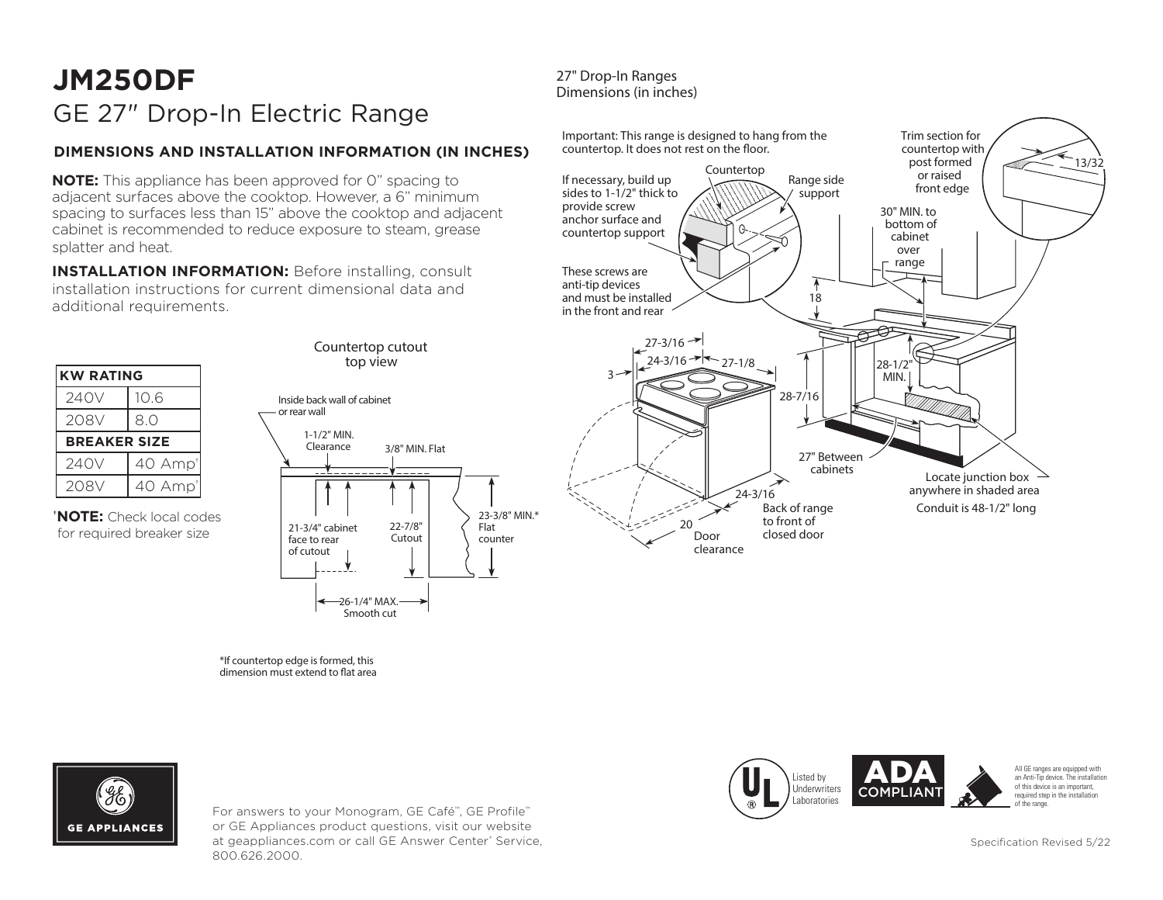# **JM250DF** GE 27" Drop-In Electric Range

## **DIMENSIONS AND INSTALLATION INFORMATION (IN INCHES)**

**NOTE:** This appliance has been approved for 0" spacing to adjacent surfaces above the cooktop. However, a 6" minimum spacing to surfaces less than 15" above the cooktop and adjacent cabinet is recommended to reduce exposure to steam, grease splatter and heat.

**INSTALLATION INFORMATION:** Before installing, consult installation instructions for current dimensional data and additional requirements.



#### 27" Drop-In Ranges Dimensions (in inches)





For answers to your Monogram, GE Café™, GE Profile™ or GE Appliances product questions, visit our website at geappliances.com or call GE Answer Center® Service, 800.626.2000.